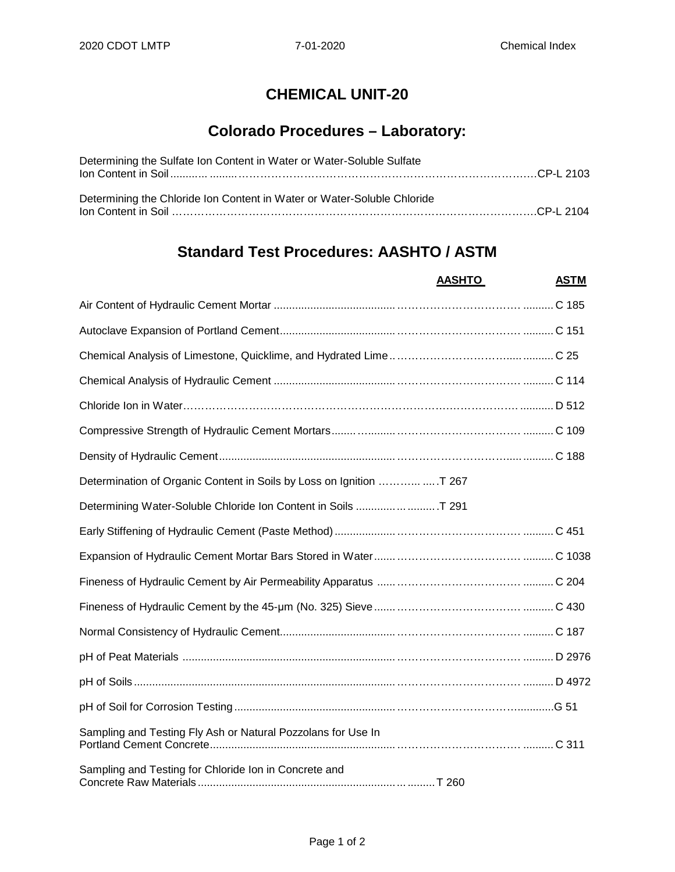## **CHEMICAL UNIT-20**

## **Colorado Procedures – Laboratory:**

| Determining the Sulfate Ion Content in Water or Water-Soluble Sulfate   |  |
|-------------------------------------------------------------------------|--|
|                                                                         |  |
|                                                                         |  |
| Determining the Chloride Ion Content in Water or Water-Soluble Chloride |  |
|                                                                         |  |

## **Standard Test Procedures: AASHTO / ASTM**

|                                                                | <b>AASHTO</b> | <b>ASTM</b> |
|----------------------------------------------------------------|---------------|-------------|
|                                                                |               |             |
|                                                                |               |             |
|                                                                |               |             |
|                                                                |               |             |
|                                                                |               |             |
|                                                                |               |             |
|                                                                |               |             |
|                                                                |               |             |
| Determining Water-Soluble Chloride Ion Content in Soils  T 291 |               |             |
|                                                                |               |             |
|                                                                |               |             |
|                                                                |               |             |
|                                                                |               |             |
|                                                                |               |             |
|                                                                |               |             |
|                                                                |               |             |
|                                                                |               |             |
| Sampling and Testing Fly Ash or Natural Pozzolans for Use In   |               |             |
| Sampling and Testing for Chloride Ion in Concrete and          |               |             |